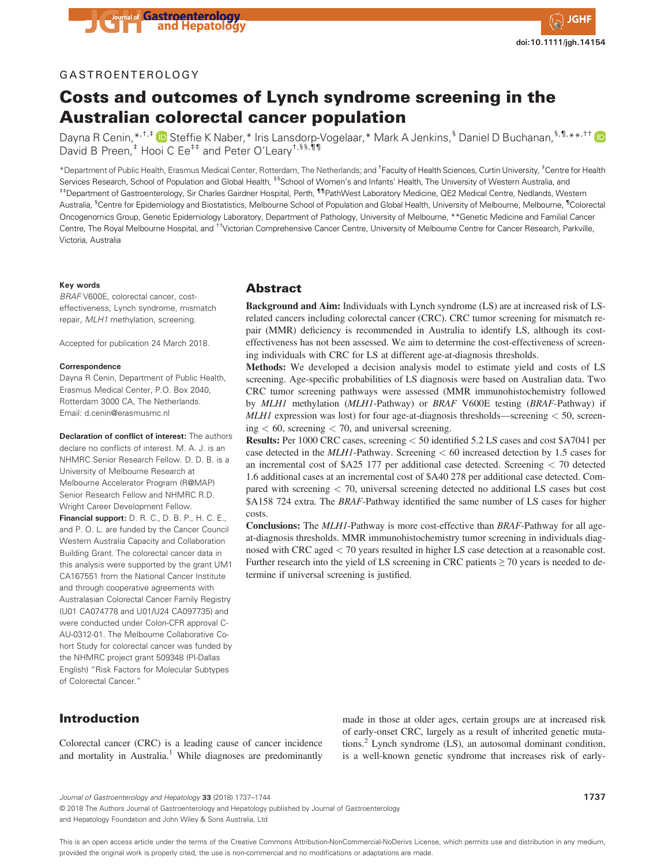

## GASTROENTEROLOGY

# Costs and outcomes of Lynch syndrome screening in the Australian colorectal cancer population

Dayna R Cenin,\*,<sup>+,‡</sup> D Steffie K Naber,\* Iris Lansdorp-Vogelaar,\* Mark A Jenkins,<sup>§</sup> Daniel D Buchanan,<sup>§,¶,</sup>\*\*,<sup>††</sup> D David B Preen,<sup>‡</sup> Hooi C Ee<sup>‡‡</sup> and Peter O'Leary<sup>+,§§,¶¶</sup>

\*Department of Public Health, Erasmus Medical Center, Rotterdam, The Netherlands; and † Faculty of Health Sciences, Curtin University, ‡ Centre for Health Services Research, School of Population and Global Health, <sup>§§</sup>School of Women's and Infants' Health, The University of Western Australia, and ‡‡Department of Gastroenterology, Sir Charles Gairdner Hospital, Perth, ¶¶PathWest Laboratory Medicine, QE2 Medical Centre, Nedlands, Western Australia, <sup>§</sup>Centre for Epidemiology and Biostatistics, Melbourne School of Population and Global Health, University of Melbourne, Melbourne, <sup>¶</sup>Colorectal Oncogenomics Group, Genetic Epidemiology Laboratory, Department of Pathology, University of Melbourne, \*\*Genetic Medicine and Familial Cancer Centre, The Royal Melbourne Hospital, and ††Victorian Comprehensive Cancer Centre, University of Melbourne Centre for Cancer Research, Parkville, Victoria, Australia

#### **Key words**

*BRAF* V600E, colorectal cancer, costeffectiveness, Lynch syndrome, mismatch repair, *MLH1* methylation, screening.

Accepted for publication 24 March 2018.

#### **Correspondence**

Dayna R Cenin, Department of Public Health, Erasmus Medical Center, P.O. Box 2040, Rotterdam 3000 CA, The Netherlands. Email: d.cenin@erasmusmc.nl

**Declaration of conflict of interest:** The authors declare no conflicts of interest. M. A. J. is an NHMRC Senior Research Fellow. D. D. B. is a University of Melbourne Research at Melbourne Accelerator Program (R@MAP) Senior Research Fellow and NHMRC R.D. Wright Career Development Fellow.

**Financial support:** D. R. C., D. B. P., H. C. E., and P. O. L. are funded by the Cancer Council Western Australia Capacity and Collaboration Building Grant. The colorectal cancer data in this analysis were supported by the grant UM1 CA167551 from the National Cancer Institute and through cooperative agreements with Australasian Colorectal Cancer Family Registry (U01 CA074778 and U01/U24 CA097735) and were conducted under Colon-CFR approval C-AU-0312-01. The Melbourne Collaborative Cohort Study for colorectal cancer was funded by the NHMRC project grant 509348 (PI-Dallas English) "Risk Factors for Molecular Subtypes of Colorectal Cancer."

## Abstract

**Background and Aim:** Individuals with Lynch syndrome (LS) are at increased risk of LSrelated cancers including colorectal cancer (CRC). CRC tumor screening for mismatch repair (MMR) deficiency is recommended in Australia to identify LS, although its costeffectiveness has not been assessed. We aim to determine the cost-effectiveness of screening individuals with CRC for LS at different age-at-diagnosis thresholds.

**Methods:** We developed a decision analysis model to estimate yield and costs of LS screening. Age-specific probabilities of LS diagnosis were based on Australian data. Two CRC tumor screening pathways were assessed (MMR immunohistochemistry followed by *MLH1* methylation (*MLH1*-Pathway) or *BRAF* V600E testing (*BRAF*-Pathway) if *MLH1* expression was lost) for four age-at-diagnosis thresholds—screening *<* 50, screening *<* 60, screening *<* 70, and universal screening.

**Results:** Per 1000 CRC cases, screening *<* 50 identified 5.2 LS cases and cost \$A7041 per case detected in the *MLH1*-Pathway. Screening *<* 60 increased detection by 1.5 cases for an incremental cost of \$A25 177 per additional case detected. Screening *<* 70 detected 1.6 additional cases at an incremental cost of \$A40 278 per additional case detected. Compared with screening *<* 70, universal screening detected no additional LS cases but cost \$A158 724 extra. The *BRAF*-Pathway identified the same number of LS cases for higher costs.

**Conclusions:** The *MLH1*-Pathway is more cost-effective than *BRAF*-Pathway for all ageat-diagnosis thresholds. MMR immunohistochemistry tumor screening in individuals diagnosed with CRC aged *<* 70 years resulted in higher LS case detection at a reasonable cost. Further research into the yield of LS screening in CRC patients  $\geq$  70 years is needed to determine if universal screening is justified.

# Introduction

Colorectal cancer (CRC) is a leading cause of cancer incidence and mortality in Australia.<sup>1</sup> While diagnoses are predominantly made in those at older ages, certain groups are at increased risk of early-onset CRC, largely as a result of inherited genetic mutations. $^{2}$  Lynch syndrome (LS), an autosomal dominant condition, is a well-known genetic syndrome that increases risk of early-

© 2018 The Authors Journal of Gastroenterology and Hepatology published by Journal of Gastroenterology and Hepatology Foundation and John Wiley & Sons Australia, Ltd

This is an open access article under the terms of the [Creative Commons Attribution-NonCommercial-NoDerivs](http://creativecommons.org/licenses/by-nc-nd/4.0/) License, which permits use and distribution in any medium, provided the original work is properly cited, the use is non-commercial and no modifications or adaptations are made

*Journal of Gastroenterology and Hepatology* **33** (2018) 1737–1744 **1737**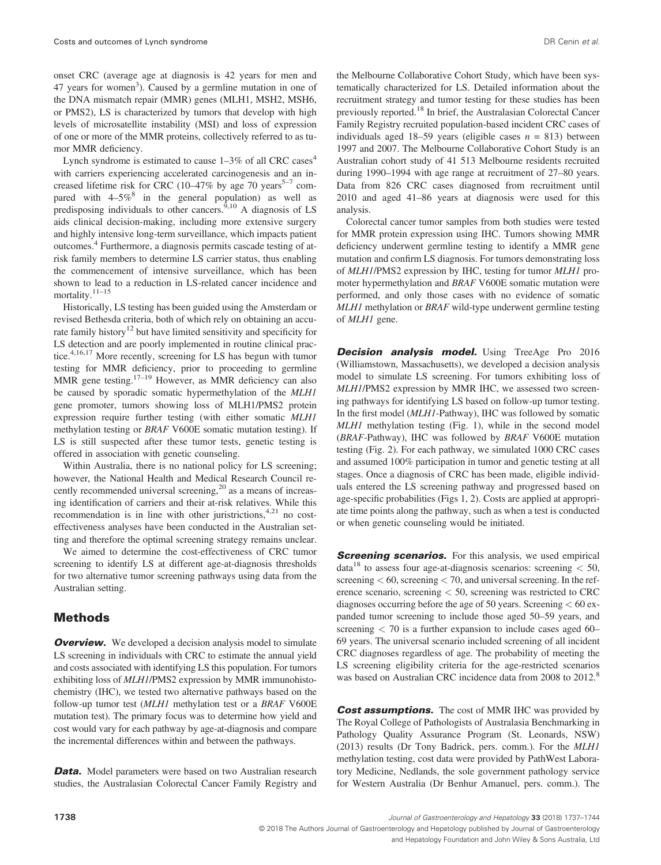onset CRC (average age at diagnosis is 42 years for men and 47 years for women<sup>3</sup>). Caused by a germline mutation in one of the DNA mismatch repair (MMR) genes (MLH1, MSH2, MSH6, or PMS2), LS is characterized by tumors that develop with high levels of microsatellite instability (MSI) and loss of expression of one or more of the MMR proteins, collectively referred to as tumor MMR deficiency.

Lynch syndrome is estimated to cause  $1-3\%$  of all CRC cases<sup>4</sup> with carriers experiencing accelerated carcinogenesis and an increased lifetime risk for CRC (10–47% by age 70 years<sup>5–7</sup> compared with  $4-5\%$ <sup>8</sup> in the general population) as well as predisposing individuals to other cancers.<sup>9,10</sup> A diagnosis of LS aids clinical decision-making, including more extensive surgery and highly intensive long-term surveillance, which impacts patient outcomes.<sup>4</sup> Furthermore, a diagnosis permits cascade testing of atrisk family members to determine LS carrier status, thus enabling the commencement of intensive surveillance, which has been shown to lead to a reduction in LS-related cancer incidence and mortality. $11-15$ 

Historically, LS testing has been guided using the Amsterdam or revised Bethesda criteria, both of which rely on obtaining an accurate family history<sup>12</sup> but have limited sensitivity and specificity for LS detection and are poorly implemented in routine clinical practice.<sup>4,16,17</sup> More recently, screening for LS has begun with tumor testing for MMR deficiency, prior to proceeding to germline MMR gene testing.<sup>17–19</sup> However, as MMR deficiency can also be caused by sporadic somatic hypermethylation of the *MLH1* gene promoter, tumors showing loss of MLH1/PMS2 protein expression require further testing (with either somatic *MLH1* methylation testing or *BRAF* V600E somatic mutation testing). If LS is still suspected after these tumor tests, genetic testing is offered in association with genetic counseling.

Within Australia, there is no national policy for LS screening; however, the National Health and Medical Research Council recently recommended universal screening,<sup>20</sup> as a means of increasing identification of carriers and their at-risk relatives. While this recommendation is in line with other juristrictions,  $4.21$  no costeffectiveness analyses have been conducted in the Australian setting and therefore the optimal screening strategy remains unclear.

We aimed to determine the cost-effectiveness of CRC tumor screening to identify LS at different age-at-diagnosis thresholds for two alternative tumor screening pathways using data from the Australian setting.

#### Methods

**Overview.** We developed a decision analysis model to simulate LS screening in individuals with CRC to estimate the annual yield and costs associated with identifying LS this population. For tumors exhibiting loss of *MLH1*/PMS2 expression by MMR immunohistochemistry (IHC), we tested two alternative pathways based on the follow-up tumor test (*MLH1* methylation test or a *BRAF* V600E mutation test). The primary focus was to determine how yield and cost would vary for each pathway by age-at-diagnosis and compare the incremental differences within and between the pathways.

**Data.** Model parameters were based on two Australian research studies, the Australasian Colorectal Cancer Family Registry and the Melbourne Collaborative Cohort Study, which have been systematically characterized for LS. Detailed information about the recruitment strategy and tumor testing for these studies has been previously reported.<sup>18</sup> In brief, the Australasian Colorectal Cancer Family Registry recruited population-based incident CRC cases of individuals aged 18–59 years (eligible cases  $n = 813$ ) between 1997 and 2007. The Melbourne Collaborative Cohort Study is an Australian cohort study of 41 513 Melbourne residents recruited during 1990–1994 with age range at recruitment of 27–80 years. Data from 826 CRC cases diagnosed from recruitment until 2010 and aged 41–86 years at diagnosis were used for this analysis.

Colorectal cancer tumor samples from both studies were tested for MMR protein expression using IHC. Tumors showing MMR deficiency underwent germline testing to identify a MMR gene mutation and confirm LS diagnosis. For tumors demonstrating loss of *MLH1*/PMS2 expression by IHC, testing for tumor *MLH1* promoter hypermethylation and *BRAF* V600E somatic mutation were performed, and only those cases with no evidence of somatic *MLH1* methylation or *BRAF* wild-type underwent germline testing of *MLH1* gene.

**Decision analysis model.** Using TreeAge Pro 2016 (Williamstown, Massachusetts), we developed a decision analysis model to simulate LS screening. For tumors exhibiting loss of *MLH1*/PMS2 expression by MMR IHC, we assessed two screening pathways for identifying LS based on follow-up tumor testing. In the first model (*MLH1*-Pathway), IHC was followed by somatic *MLH1* methylation testing (Fig. 1), while in the second model (*BRAF*-Pathway), IHC was followed by *BRAF* V600E mutation testing (Fig. 2). For each pathway, we simulated 1000 CRC cases and assumed 100% participation in tumor and genetic testing at all stages. Once a diagnosis of CRC has been made, eligible individuals entered the LS screening pathway and progressed based on age-specific probabilities (Figs 1, 2). Costs are applied at appropriate time points along the pathway, such as when a test is conducted or when genetic counseling would be initiated.

**Screening scenarios.** For this analysis, we used empirical data<sup>18</sup> to assess four age-at-diagnosis scenarios: screening *<* 50, screening *<* 60, screening *<* 70, and universal screening. In the reference scenario, screening *<* 50, screening was restricted to CRC diagnoses occurring before the age of 50 years. Screening *<* 60 expanded tumor screening to include those aged 50–59 years, and screening *<* 70 is a further expansion to include cases aged 60– 69 years. The universal scenario included screening of all incident CRC diagnoses regardless of age. The probability of meeting the LS screening eligibility criteria for the age-restricted scenarios was based on Australian CRC incidence data from 2008 to 2012.<sup>8</sup>

**Cost assumptions.** The cost of MMR IHC was provided by The Royal College of Pathologists of Australasia Benchmarking in Pathology Quality Assurance Program (St. Leonards, NSW) (2013) results (Dr Tony Badrick, pers. comm.). For the *MLH1* methylation testing, cost data were provided by PathWest Laboratory Medicine, Nedlands, the sole government pathology service for Western Australia (Dr Benhur Amanuel, pers. comm.). The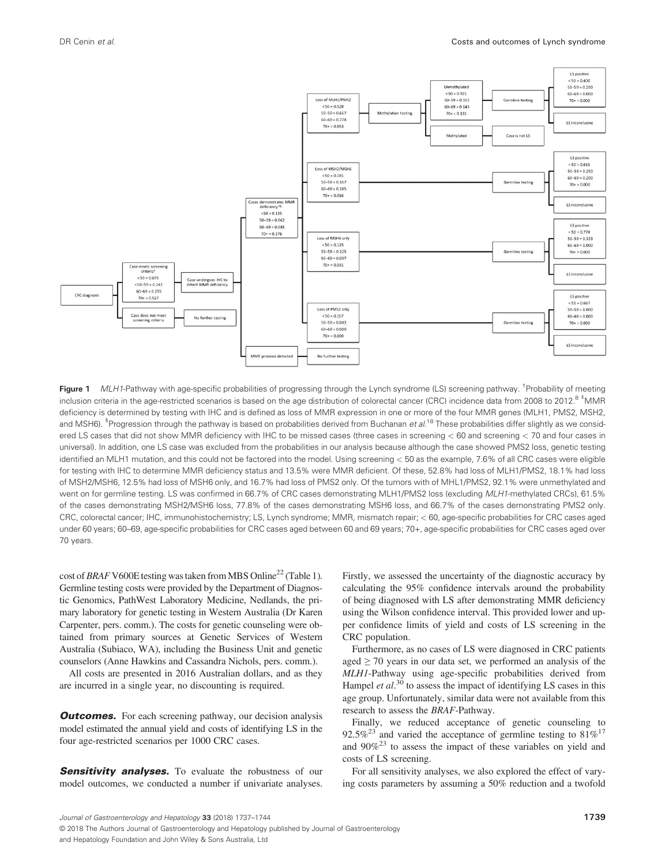

Figure 1 *MLH1*-Pathway with age-specific probabilities of progressing through the Lynch syndrome (LS) screening pathway. <sup>†</sup>Probability of meeting inclusion criteria in the age-restricted scenarios is based on the age distribution of colorectal cancer (CRC) incidence data from 2008 to 2012.<sup>8 ‡</sup>MMR deficiency is determined by testing with IHC and is defined as loss of MMR expression in one or more of the four MMR genes (MLH1, PMS2, MSH2, and MSH6). <sup>§</sup>Progression through the pathway is based on probabilities derived from Buchanan *et al*.<sup>18</sup> These probabilities differ slightly as we considered LS cases that did not show MMR deficiency with IHC to be missed cases (three cases in screening *<* 60 and screening *<* 70 and four cases in universal). In addition, one LS case was excluded from the probabilities in our analysis because although the case showed PMS2 loss, genetic testing identified an MLH1 mutation, and this could not be factored into the model. Using screening *<* 50 as the example, 7.6% of all CRC cases were eligible for testing with IHC to determine MMR deficiency status and 13.5% were MMR deficient. Of these, 52.8% had loss of MLH1/PMS2, 18.1% had loss of MSH2/MSH6, 12.5% had loss of MSH6 only, and 16.7% had loss of PMS2 only. Of the tumors with of MHL1/PMS2, 92.1% were unmethylated and went on for germline testing. LS was confirmed in 66.7% of CRC cases demonstrating MLH1/PMS2 loss (excluding *MLH1*-methylated CRCs), 61.5% of the cases demonstrating MSH2/MSH6 loss, 77.8% of the cases demonstrating MSH6 loss, and 66.7% of the cases demonstrating PMS2 only. CRC, colorectal cancer; IHC, immunohistochemistry; LS, Lynch syndrome; MMR, mismatch repair; *<* 60, age-specific probabilities for CRC cases aged under 60 years; 60–69, age-specific probabilities for CRC cases aged between 60 and 69 years; 70+, age-specific probabilities for CRC cases aged over 70 years.

cost of *BRAF* V600E testing was taken from MBS Online<sup>22</sup> (Table 1). Germline testing costs were provided by the Department of Diagnostic Genomics, PathWest Laboratory Medicine, Nedlands, the primary laboratory for genetic testing in Western Australia (Dr Karen Carpenter, pers. comm.). The costs for genetic counseling were obtained from primary sources at Genetic Services of Western Australia (Subiaco, WA), including the Business Unit and genetic counselors (Anne Hawkins and Cassandra Nichols, pers. comm.).

All costs are presented in 2016 Australian dollars, and as they are incurred in a single year, no discounting is required.

**Outcomes.** For each screening pathway, our decision analysis model estimated the annual yield and costs of identifying LS in the four age-restricted scenarios per 1000 CRC cases.

**Sensitivity analyses.** To evaluate the robustness of our model outcomes, we conducted a number if univariate analyses. Firstly, we assessed the uncertainty of the diagnostic accuracy by calculating the 95% confidence intervals around the probability of being diagnosed with LS after demonstrating MMR deficiency using the Wilson confidence interval. This provided lower and upper confidence limits of yield and costs of LS screening in the CRC population.

Furthermore, as no cases of LS were diagnosed in CRC patients aged  $\geq$  70 years in our data set, we performed an analysis of the *MLH1*-Pathway using age-specific probabilities derived from Hampel *et al.*<sup>30</sup> to assess the impact of identifying LS cases in this age group. Unfortunately, similar data were not available from this research to assess the *BRAF*-Pathway.

Finally, we reduced acceptance of genetic counseling to 92.5%<sup>23</sup> and varied the acceptance of germline testing to  $81\%^{17}$ and  $90\%^{23}$  to assess the impact of these variables on yield and costs of LS screening.

For all sensitivity analyses, we also explored the effect of varying costs parameters by assuming a 50% reduction and a twofold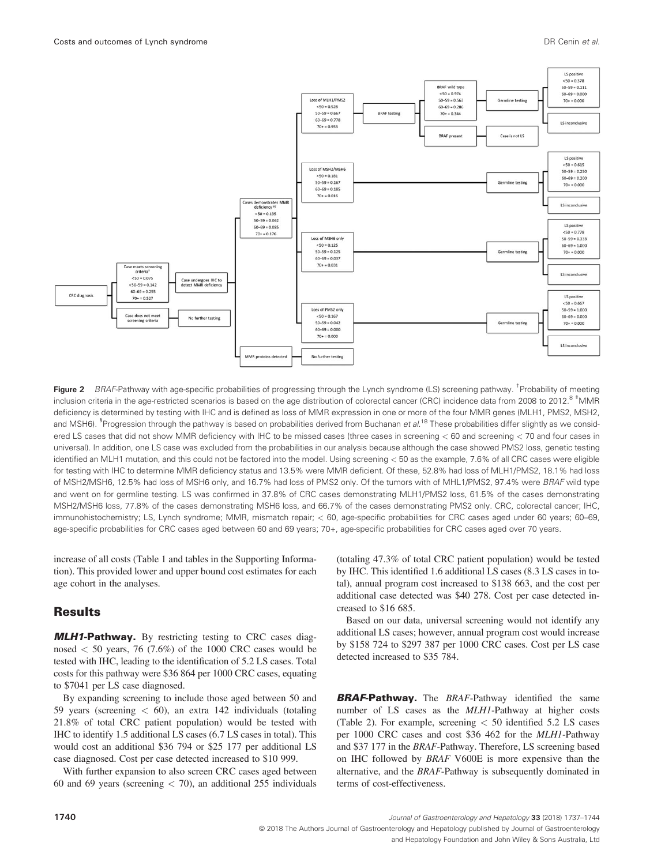

Figure 2 *BRAF*-Pathway with age-specific probabilities of progressing through the Lynch syndrome (LS) screening pathway. <sup>†</sup> Probability of meeting inclusion criteria in the age-restricted scenarios is based on the age distribution of colorectal cancer (CRC) incidence data from 2008 to 2012.<sup>8 ‡</sup>MMR deficiency is determined by testing with IHC and is defined as loss of MMR expression in one or more of the four MMR genes (MLH1, PMS2, MSH2, and MSH6). <sup>§</sup>Progression through the pathway is based on probabilities derived from Buchanan *et al*.<sup>18</sup> These probabilities differ slightly as we considered LS cases that did not show MMR deficiency with IHC to be missed cases (three cases in screening *<* 60 and screening *<* 70 and four cases in universal). In addition, one LS case was excluded from the probabilities in our analysis because although the case showed PMS2 loss, genetic testing identified an MLH1 mutation, and this could not be factored into the model. Using screening *<* 50 as the example, 7.6% of all CRC cases were eligible for testing with IHC to determine MMR deficiency status and 13.5% were MMR deficient. Of these, 52.8% had loss of MLH1/PMS2, 18.1% had loss of MSH2/MSH6, 12.5% had loss of MSH6 only, and 16.7% had loss of PMS2 only. Of the tumors with of MHL1/PMS2, 97.4% were *BRAF* wild type and went on for germline testing. LS was confirmed in 37.8% of CRC cases demonstrating MLH1/PMS2 loss, 61.5% of the cases demonstrating MSH2/MSH6 loss, 77.8% of the cases demonstrating MSH6 loss, and 66.7% of the cases demonstrating PMS2 only. CRC, colorectal cancer; IHC, immunohistochemistry; LS, Lynch syndrome; MMR, mismatch repair; *<* 60, age-specific probabilities for CRC cases aged under 60 years; 60–69, age-specific probabilities for CRC cases aged between 60 and 69 years; 70+, age-specific probabilities for CRC cases aged over 70 years.

increase of all costs (Table 1 and tables in the Supporting Information). This provided lower and upper bound cost estimates for each age cohort in the analyses.

#### Results

MLH1-Pathway. By restricting testing to CRC cases diagnosed *<* 50 years, 76 (7.6%) of the 1000 CRC cases would be tested with IHC, leading to the identification of 5.2 LS cases. Total costs for this pathway were \$36 864 per 1000 CRC cases, equating to \$7041 per LS case diagnosed.

By expanding screening to include those aged between 50 and 59 years (screening *<* 60), an extra 142 individuals (totaling 21.8% of total CRC patient population) would be tested with IHC to identify 1.5 additional LS cases (6.7 LS cases in total). This would cost an additional \$36 794 or \$25 177 per additional LS case diagnosed. Cost per case detected increased to \$10 999.

With further expansion to also screen CRC cases aged between 60 and 69 years (screening *<* 70), an additional 255 individuals

(totaling 47.3% of total CRC patient population) would be tested by IHC. This identified 1.6 additional LS cases (8.3 LS cases in total), annual program cost increased to \$138 663, and the cost per additional case detected was \$40 278. Cost per case detected increased to \$16 685.

Based on our data, universal screening would not identify any additional LS cases; however, annual program cost would increase by \$158 724 to \$297 387 per 1000 CRC cases. Cost per LS case detected increased to \$35 784.

**BRAF-Pathway.** The *BRAF-Pathway* identified the same number of LS cases as the *MLH1*-Pathway at higher costs (Table 2). For example, screening *<* 50 identified 5.2 LS cases per 1000 CRC cases and cost \$36 462 for the *MLH1*-Pathway and \$37 177 in the *BRAF*-Pathway. Therefore, LS screening based on IHC followed by *BRAF* V600E is more expensive than the alternative, and the *BRAF*-Pathway is subsequently dominated in terms of cost-effectiveness.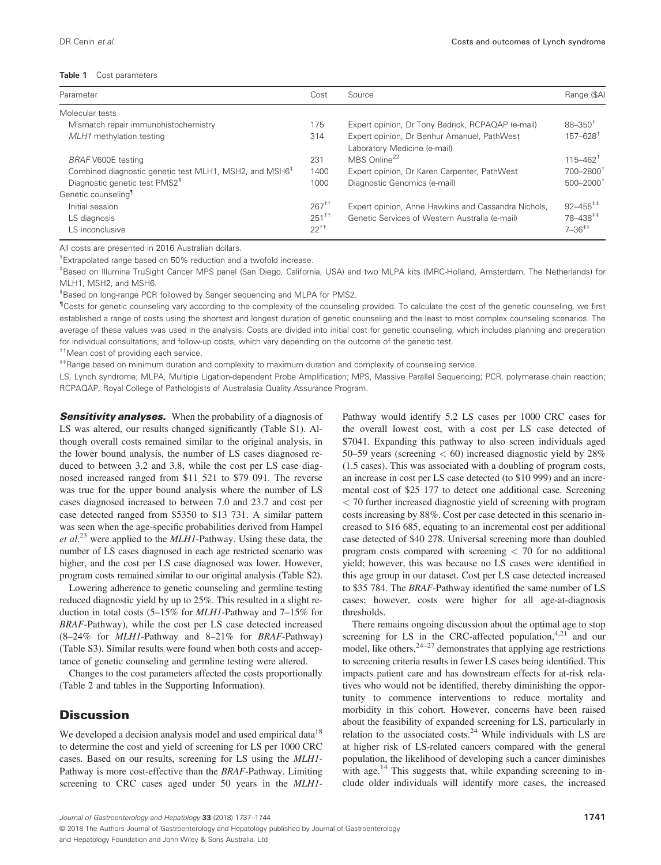#### **Table 1** Cost parameters

| Parameter                                                          | Cost       | Source                                              | Range (\$A)                                |
|--------------------------------------------------------------------|------------|-----------------------------------------------------|--------------------------------------------|
| Molecular tests                                                    |            |                                                     |                                            |
| Mismatch repair immunohistochemistry                               | 175        | Expert opinion, Dr Tony Badrick, RCPAQAP (e-mail)   | $88 - 350^{\circ}$                         |
| MLH1 methylation testing                                           | 314        | Expert opinion, Dr Benhur Amanuel, PathWest         | $157 - 628$ <sup>+</sup>                   |
|                                                                    |            | Laboratory Medicine (e-mail)                        |                                            |
| <b>BRAF V600E testing</b>                                          | 231        | MBS Online <sup>22</sup>                            | $115 - 462$ <sup>†</sup>                   |
| Combined diagnostic genetic test MLH1, MSH2, and MSH6 <sup>+</sup> | 1400       | Expert opinion, Dr Karen Carpenter, PathWest        | 700-28001                                  |
| Diagnostic genetic test PMS2 <sup>§</sup>                          | 1000       | Diagnostic Genomics (e-mail)                        | $500 - 2000$ <sup>1</sup>                  |
| Genetic counseling <sup>11</sup>                                   |            |                                                     |                                            |
| Initial session                                                    | $267^{+1}$ | Expert opinion, Anne Hawkins and Cassandra Nichols, | $92 - 455^{++}$                            |
| LS diagnosis                                                       | $251^{+1}$ | Genetic Services of Western Australia (e-mail)      | $78 - 438$ <sup><math>\pm \pm</math></sup> |
| LS inconclusive                                                    | $22^{+1}$  |                                                     | $7 - 36^{++}$                              |

All costs are presented in 2016 Australian dollars.

† Extrapolated range based on 50% reduction and a twofold increase.

‡ Based on Illumina TruSight Cancer MPS panel (San Diego, California, USA) and two MLPA kits (MRC-Holland, Amsterdam, The Netherlands) for MLH1, MSH2, and MSH6.

§ Based on long-range PCR followed by Sanger sequencing and MLPA for PMS2.

<sup>1</sup>Costs for genetic counseling vary according to the complexity of the counseling provided. To calculate the cost of the genetic counseling, we first established a range of costs using the shortest and longest duration of genetic counseling and the least to most complex counseling scenarios. The average of these values was used in the analysis. Costs are divided into initial cost for genetic counseling, which includes planning and preparation for individual consultations, and follow-up costs, which vary depending on the outcome of the genetic test.

††Mean cost of providing each service.

‡‡Range based on minimum duration and complexity to maximum duration and complexity of counseling service.

LS, Lynch syndrome; MLPA, Multiple Ligation-dependent Probe Amplification; MPS, Massive Parallel Sequencing; PCR, polymerase chain reaction; RCPAQAP, Royal College of Pathologists of Australasia Quality Assurance Program.

**Sensitivity analyses.** When the probability of a diagnosis of LS was altered, our results changed significantly (Table S1). Although overall costs remained similar to the original analysis, in the lower bound analysis, the number of LS cases diagnosed reduced to between 3.2 and 3.8, while the cost per LS case diagnosed increased ranged from \$11 521 to \$79 091. The reverse was true for the upper bound analysis where the number of LS cases diagnosed increased to between 7.0 and 23.7 and cost per case detected ranged from \$5350 to \$13 731. A similar pattern was seen when the age-specific probabilities derived from Hampel *et al*. <sup>23</sup> were applied to the *MLH1*-Pathway. Using these data, the number of LS cases diagnosed in each age restricted scenario was higher, and the cost per LS case diagnosed was lower. However, program costs remained similar to our original analysis (Table S2).

Lowering adherence to genetic counseling and germline testing reduced diagnostic yield by up to 25%. This resulted in a slight reduction in total costs (5–15% for *MLH1*-Pathway and 7–15% for *BRAF*-Pathway), while the cost per LS case detected increased (8–24% for *MLH1*-Pathway and 8–21% for *BRAF*-Pathway) (Table S3). Similar results were found when both costs and acceptance of genetic counseling and germline testing were altered.

Changes to the cost parameters affected the costs proportionally (Table 2 and tables in the Supporting Information).

#### **Discussion**

We developed a decision analysis model and used empirical data<sup>18</sup> to determine the cost and yield of screening for LS per 1000 CRC cases. Based on our results, screening for LS using the *MLH1*- Pathway is more cost-effective than the *BRAF*-Pathway. Limiting screening to CRC cases aged under 50 years in the *MLH1*- Pathway would identify 5.2 LS cases per 1000 CRC cases for the overall lowest cost, with a cost per LS case detected of \$7041. Expanding this pathway to also screen individuals aged 50–59 years (screening *<* 60) increased diagnostic yield by 28% (1.5 cases). This was associated with a doubling of program costs, an increase in cost per LS case detected (to \$10 999) and an incremental cost of \$25 177 to detect one additional case. Screening *<* 70 further increased diagnostic yield of screening with program costs increasing by 88%. Cost per case detected in this scenario increased to \$16 685, equating to an incremental cost per additional case detected of \$40 278. Universal screening more than doubled program costs compared with screening *<* 70 for no additional yield; however, this was because no LS cases were identified in this age group in our dataset. Cost per LS case detected increased to \$35 784. The *BRAF*-Pathway identified the same number of LS cases; however, costs were higher for all age-at-diagnosis thresholds.

There remains ongoing discussion about the optimal age to stop screening for LS in the CRC-affected population,  $4,21$  and our model, like others,  $24-27$  demonstrates that applying age restrictions to screening criteria results in fewer LS cases being identified. This impacts patient care and has downstream effects for at-risk relatives who would not be identified, thereby diminishing the opportunity to commence interventions to reduce mortality and morbidity in this cohort. However, concerns have been raised about the feasibility of expanded screening for LS, particularly in relation to the associated costs.<sup>24</sup> While individuals with LS are at higher risk of LS-related cancers compared with the general population, the likelihood of developing such a cancer diminishes with age.<sup>14</sup> This suggests that, while expanding screening to include older individuals will identify more cases, the increased

<sup>© 2018</sup> The Authors Journal of Gastroenterology and Hepatology published by Journal of Gastroenterology and Hepatology Foundation and John Wiley & Sons Australia, Ltd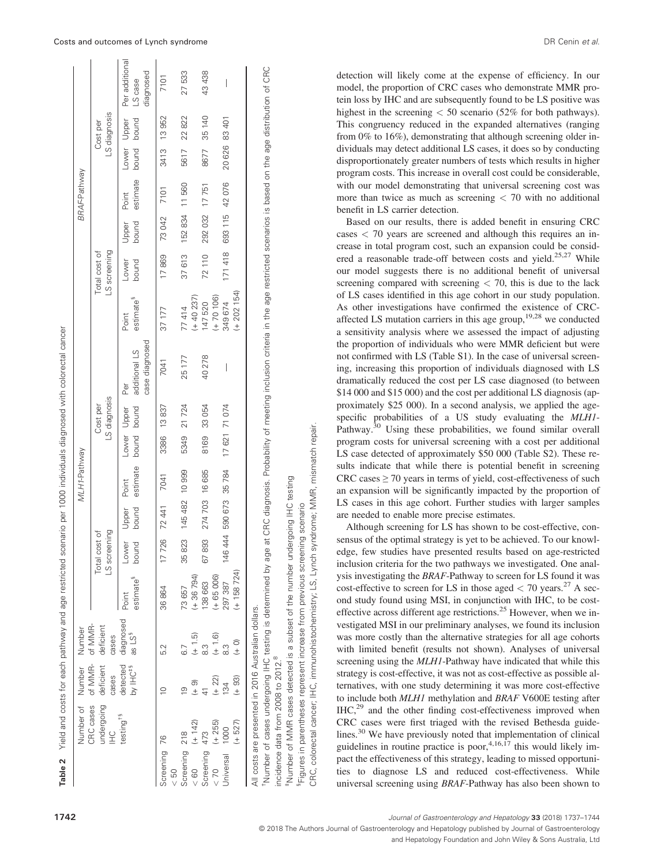| 145 482 10 999<br>274 703 16 685<br>bound<br>7 726 72 441<br>Upper<br>LS screening<br>Total cost of<br>ound<br>35823<br>67893<br>ower<br>$+36794$<br>estimate <sup>3</sup><br>38 663<br>73657<br>36864<br>Point<br>detected diagnosed<br>CRC cases of MMR- of MMR-<br>deficient<br>as LS <sup>3</sup><br>$(+ 1.5)$<br>cases<br>က္ပ<br>52<br>undergoing deficient<br>by IHC <sup>#§</sup><br>cases<br>$(+ 22)$<br>$\frac{1}{2}$<br>σ.<br>C<br>testing <sup>13</sup><br>$(+ 142)$<br>$(+ 255)$<br>Screening 218<br>Screening 473<br>Screening 76<br>$\frac{8}{2}$<br>$\frac{2}{3}$<br>50 |           |              |  | MLH <sub>1-Pathway</sub> |                            |                          |                                        |                                |                               |                        | <b>BRAF-Pathway</b> |               |                          |                                        |
|----------------------------------------------------------------------------------------------------------------------------------------------------------------------------------------------------------------------------------------------------------------------------------------------------------------------------------------------------------------------------------------------------------------------------------------------------------------------------------------------------------------------------------------------------------------------------------------|-----------|--------------|--|--------------------------|----------------------------|--------------------------|----------------------------------------|--------------------------------|-------------------------------|------------------------|---------------------|---------------|--------------------------|----------------------------------------|
|                                                                                                                                                                                                                                                                                                                                                                                                                                                                                                                                                                                        |           |              |  |                          |                            | LS diagnosis<br>Cost per |                                        |                                | LS screening<br>Total cost of |                        |                     |               | LS diagnosis<br>Cost per |                                        |
|                                                                                                                                                                                                                                                                                                                                                                                                                                                                                                                                                                                        |           |              |  | estimate<br>Point        | bound bound<br>Lower Upper |                          | case diagnosed<br>additional LS<br>Per | estimate <sup>3</sup><br>Point | bound<br>Lower                | bound<br>Upper         | estimate<br>Point   | Lower Upper   | bound bound              | Per additional<br>diagnosed<br>LS case |
|                                                                                                                                                                                                                                                                                                                                                                                                                                                                                                                                                                                        |           |              |  | 7041                     | 3386                       | 13837                    | 7041                                   | 37177                          | 17869                         | 73 042                 | 7101                |               | 3413 13 952              | 7101                                   |
|                                                                                                                                                                                                                                                                                                                                                                                                                                                                                                                                                                                        |           |              |  |                          | 5349 21 724                |                          | 25177                                  | 77414                          | 37613                         | 152 834 11 560         |                     |               | 5617 22 822              | 27533                                  |
|                                                                                                                                                                                                                                                                                                                                                                                                                                                                                                                                                                                        |           |              |  |                          |                            |                          |                                        | $(+ 40 237)$                   |                               |                        |                     |               |                          |                                        |
|                                                                                                                                                                                                                                                                                                                                                                                                                                                                                                                                                                                        |           |              |  |                          | 8169 33 054                |                          | 40 278                                 | 147 520                        | 72 110                        | 292 032 17 751         |                     |               | 8677 35 140              | 43 438                                 |
|                                                                                                                                                                                                                                                                                                                                                                                                                                                                                                                                                                                        | $(+ 1.6)$ | $(+ 65 006)$ |  |                          |                            |                          |                                        | $(+ 70 106)$                   |                               |                        |                     |               |                          |                                        |
| 46 444 590 673 35 784<br>297 387<br>134<br>1000<br>Jniversal                                                                                                                                                                                                                                                                                                                                                                                                                                                                                                                           |           |              |  |                          | 17621 71074                |                          | I                                      | 349 674                        |                               | 171 418 693 115 42 076 |                     | 20 626 83 401 |                          | I                                      |
| $(+ 158724)$<br>$\frac{1}{2}$<br>$(+ 93)$<br>$+527$                                                                                                                                                                                                                                                                                                                                                                                                                                                                                                                                    |           |              |  |                          |                            |                          |                                        | $(+ 202 154)$                  |                               |                        |                     |               |                          |                                        |

**Table 2** Yield and costs for each pathway and age restricted scenario per 1000 individuals diagnosed with colorectal cancer Yield and costs for each pathway and age restricted scenario per 1000 individuals diagnosed with colorectal cancer †Number of cases undergoing IHC testing is determined by age at CRC diagnosis. Probability of meeting inclusion criteria in the age restricted scenarios is based on the age distribution of CRC Number of cases undergoing IHC testing is determined by age at CRC diagnosis. Probability of meeting inclusion criteria in the age restricted scenarios is based on the age distribution of CRC incidence data from 2008 to 2012.8 ncidence data from 2008 to 2012.

Number of MMR cases detected is a subset of the number undergoing IHC testing ‡Number of MMR cases detected is a subset of the number undergoing IHC testing

increase from previous screening scenario §Figures in parentheses represent increase from previous screening scenario Figures in parentheses represent i

CRC, colorectal cancer; IHC, immunohistochemistry; LS, Lynch syndrome; MMR, mismatch repair. mismatch repair immunohistochemistry; LS, Lynch syndrome; MMR, colorectal cancer; IHC, CRC,

detection will likely come at the expense of efficiency. In our model, the proportion of CRC cases who demonstrate MMR protein loss by IHC and are subsequently found to be LS positive was highest in the screening *<* 50 scenario (52% for both pathways). This congruency reduced in the expanded alternatives (ranging from 0% to 16%), demonstrating that although screening older individuals may detect additional LS cases, it does so by conducting disproportionately greater numbers of tests which results in higher program costs. This increase in overall cost could be considerable, with our model demonstrating that universal screening cost was more than twice as much as screening *<* 70 with no additional benefit in LS carrier detection.

Based on our results, there is added benefit in ensuring CRC cases *<* 70 years are screened and although this requires an increase in total program cost, such an expansion could be considered a reasonable trade-off between costs and yield.<sup>25,27</sup> While our model suggests there is no additional benefit of universal screening compared with screening *<* 70, this is due to the lack of LS cases identified in this age cohort in our study population. As other investigations have confirmed the existence of CRCaffected LS mutation carriers in this age group,  $19,28$  we conducted a sensitivity analysis where we assessed the impact of adjusting the proportion of individuals who were MMR deficient but were not confirmed with LS (Table S1). In the case of universal screening, increasing this proportion of individuals diagnosed with LS dramatically reduced the cost per LS case diagnosed (to between \$14 000 and \$15 000) and the cost per additional LS diagnosis (approximately \$25 000). In a second analysis, we applied the agespecific probabilities of a US study evaluating the *MLH1*- Pathway.<sup>30</sup> Using these probabilities, we found similar overall program costs for universal screening with a cost per additional LS case detected of approximately \$50 000 (Table S2). These results indicate that while there is potential benefit in screening CRC cases  $\geq$  70 years in terms of yield, cost-effectiveness of such an expansion will be significantly impacted by the proportion of LS cases in this age cohort. Further studies with larger samples are needed to enable more precise estimates.

Although screening for LS has shown to be cost-effective, consensus of the optimal strategy is yet to be achieved. To our knowledge, few studies have presented results based on age-restricted inclusion criteria for the two pathways we investigated. One analysis investigating the *BRAF*-Pathway to screen for LS found it was cost-effective to screen for LS in those aged  $<$  70 years.<sup>27</sup> A second study found using MSI, in conjunction with IHC, to be costeffective across different age restrictions.<sup>25</sup> However, when we investigated MSI in our preliminary analyses, we found its inclusion was more costly than the alternative strategies for all age cohorts with limited benefit (results not shown). Analyses of universal screening using the *MLH1*-Pathway have indicated that while this strategy is cost-effective, it was not as cost-effective as possible alternatives, with one study determining it was more cost-effective to include both *MLH1* methylation and *BRAF* V600E testing after  $IHC<sub>1</sub><sup>29</sup>$  and the other finding cost-effectiveness improved when CRC cases were first triaged with the revised Bethesda guidelines.30 We have previously noted that implementation of clinical guidelines in routine practice is poor,<sup>4,16,17</sup> this would likely impact the effectiveness of this strategy, leading to missed opportunities to diagnose LS and reduced cost-effectiveness. While universal screening using *BRAF*-Pathway has also been shown to

 $\sim$ 

**1742** *Journal of Gastroenterology and Hepatology* **33** (2018) 1737–1744

© 2018 The Authors Journal of Gastroenterology and Hepatology published by Journal of Gastroenterology

and Hepatology Foundation and John Wiley & Sons Australia, Ltd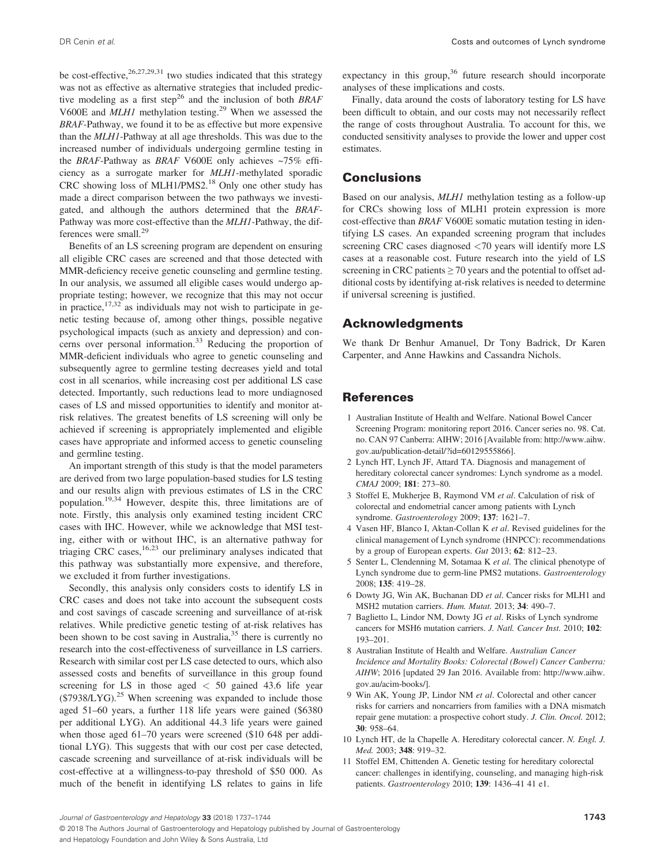DR Cenin *et al*. Costs and outcomes of Lynch syndrome

be cost-effective,  $26,27,29,31$  two studies indicated that this strategy was not as effective as alternative strategies that included predictive modeling as a first step<sup>26</sup> and the inclusion of both *BRAF* V600E and *MLH1* methylation testing.<sup>29</sup> When we assessed the *BRAF*-Pathway, we found it to be as effective but more expensive than the *MLH1*-Pathway at all age thresholds. This was due to the increased number of individuals undergoing germline testing in the *BRAF*-Pathway as *BRAF* V600E only achieves ~75% efficiency as a surrogate marker for *MLH1*-methylated sporadic CRC showing loss of MLH1/PMS2.18 Only one other study has made a direct comparison between the two pathways we investigated, and although the authors determined that the *BRAF*-Pathway was more cost-effective than the *MLH1*-Pathway, the differences were small.<sup>29</sup>

Benefits of an LS screening program are dependent on ensuring all eligible CRC cases are screened and that those detected with MMR-deficiency receive genetic counseling and germline testing. In our analysis, we assumed all eligible cases would undergo appropriate testing; however, we recognize that this may not occur in practice,  $17,32$  as individuals may not wish to participate in genetic testing because of, among other things, possible negative psychological impacts (such as anxiety and depression) and concerns over personal information.<sup>33</sup> Reducing the proportion of MMR-deficient individuals who agree to genetic counseling and subsequently agree to germline testing decreases yield and total cost in all scenarios, while increasing cost per additional LS case detected. Importantly, such reductions lead to more undiagnosed cases of LS and missed opportunities to identify and monitor atrisk relatives. The greatest benefits of LS screening will only be achieved if screening is appropriately implemented and eligible cases have appropriate and informed access to genetic counseling and germline testing.

An important strength of this study is that the model parameters are derived from two large population-based studies for LS testing and our results align with previous estimates of LS in the CRC population.19,34 However, despite this, three limitations are of note. Firstly, this analysis only examined testing incident CRC cases with IHC. However, while we acknowledge that MSI testing, either with or without IHC, is an alternative pathway for triaging CRC cases,  $16,23$  our preliminary analyses indicated that this pathway was substantially more expensive, and therefore, we excluded it from further investigations.

Secondly, this analysis only considers costs to identify LS in CRC cases and does not take into account the subsequent costs and cost savings of cascade screening and surveillance of at-risk relatives. While predictive genetic testing of at-risk relatives has been shown to be cost saving in Australia, $35$  there is currently no research into the cost-effectiveness of surveillance in LS carriers. Research with similar cost per LS case detected to ours, which also assessed costs and benefits of surveillance in this group found screening for LS in those aged *<* 50 gained 43.6 life year  $($7938/LYG).^{25}$  When screening was expanded to include those aged 51–60 years, a further 118 life years were gained (\$6380 per additional LYG). An additional 44.3 life years were gained when those aged 61–70 years were screened (\$10 648 per additional LYG). This suggests that with our cost per case detected, cascade screening and surveillance of at-risk individuals will be cost-effective at a willingness-to-pay threshold of \$50 000. As much of the benefit in identifying LS relates to gains in life expectancy in this group,  $36$  future research should incorporate analyses of these implications and costs.

Finally, data around the costs of laboratory testing for LS have been difficult to obtain, and our costs may not necessarily reflect the range of costs throughout Australia. To account for this, we conducted sensitivity analyses to provide the lower and upper cost estimates.

### **Conclusions**

Based on our analysis, *MLH1* methylation testing as a follow-up for CRCs showing loss of MLH1 protein expression is more cost-effective than *BRAF* V600E somatic mutation testing in identifying LS cases. An expanded screening program that includes screening CRC cases diagnosed *<*70 years will identify more LS cases at a reasonable cost. Future research into the yield of LS screening in CRC patients  $\geq$  70 years and the potential to offset additional costs by identifying at-risk relatives is needed to determine if universal screening is justified.

### Acknowledgments

We thank Dr Benhur Amanuel, Dr Tony Badrick, Dr Karen Carpenter, and Anne Hawkins and Cassandra Nichols.

### References

- 1 Australian Institute of Health and Welfare. National Bowel Cancer Screening Program: monitoring report 2016. Cancer series no. 98. Cat. no. CAN 97 Canberra: AIHW; 2016 [Available from: [http://www.aihw.](http://www.aihw.gov.au/publication-detail/?id=60129555866) [gov.au/publication-detail/?id=60129555866\]](http://www.aihw.gov.au/publication-detail/?id=60129555866).
- 2 Lynch HT, Lynch JF, Attard TA. Diagnosis and management of hereditary colorectal cancer syndromes: Lynch syndrome as a model. *CMAJ* 2009; **181**: 273–80.
- 3 Stoffel E, Mukherjee B, Raymond VM *et al*. Calculation of risk of colorectal and endometrial cancer among patients with Lynch syndrome. *Gastroenterology* 2009; **137**: 1621–7.
- 4 Vasen HF, Blanco I, Aktan-Collan K *et al*. Revised guidelines for the clinical management of Lynch syndrome (HNPCC): recommendations by a group of European experts. *Gut* 2013; **62**: 812–23.
- 5 Senter L, Clendenning M, Sotamaa K *et al*. The clinical phenotype of Lynch syndrome due to germ-line PMS2 mutations. *Gastroenterology* 2008; **135**: 419–28.
- 6 Dowty JG, Win AK, Buchanan DD *et al*. Cancer risks for MLH1 and MSH2 mutation carriers. *Hum. Mutat.* 2013; **34**: 490–7.
- 7 Baglietto L, Lindor NM, Dowty JG *et al*. Risks of Lynch syndrome cancers for MSH6 mutation carriers. *J. Natl. Cancer Inst.* 2010; **102**: 193–201.
- 8 Australian Institute of Health and Welfare. *Australian Cancer Incidence and Mortality Books: Colorectal (Bowel) Cancer Canberra: AIHW*; 2016 [updated 29 Jan 2016. Available from: [http://www.aihw.](http://www.aihw.gov.au/acim-books/) [gov.au/acim-books/](http://www.aihw.gov.au/acim-books/)].
- 9 Win AK, Young JP, Lindor NM *et al*. Colorectal and other cancer risks for carriers and noncarriers from families with a DNA mismatch repair gene mutation: a prospective cohort study. *J. Clin. Oncol.* 2012; **30**: 958–64.
- 10 Lynch HT, de la Chapelle A. Hereditary colorectal cancer. *N. Engl. J. Med.* 2003; **348**: 919–32.
- 11 Stoffel EM, Chittenden A. Genetic testing for hereditary colorectal cancer: challenges in identifying, counseling, and managing high-risk patients. *Gastroenterology* 2010; **139**: 1436–41 41 e1.